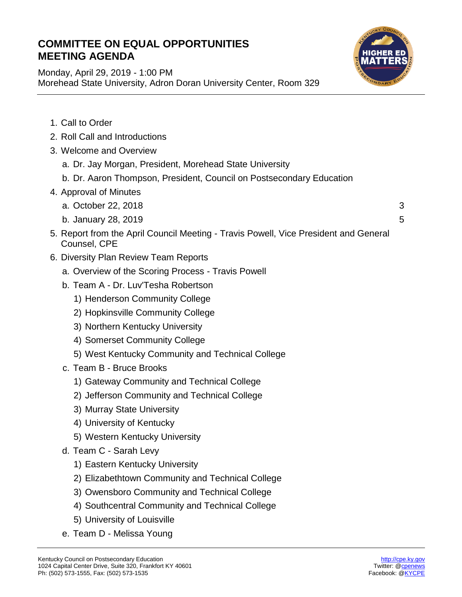## **COMMITTEE ON EQUAL OPPORTUNITIES MEETING AGENDA**

Morehead State University, Adron Doran University Center, Room 329

Monday, April 29, 2019 - 1:00 PM



| 1. Call to Order                                                                                     |   |
|------------------------------------------------------------------------------------------------------|---|
| 2. Roll Call and Introductions                                                                       |   |
| 3. Welcome and Overview                                                                              |   |
| a. Dr. Jay Morgan, President, Morehead State University                                              |   |
| b. Dr. Aaron Thompson, President, Council on Postsecondary Education                                 |   |
| 4. Approval of Minutes                                                                               |   |
| a. October 22, 2018                                                                                  | 3 |
| b. January 28, 2019                                                                                  | 5 |
| 5. Report from the April Council Meeting - Travis Powell, Vice President and General<br>Counsel, CPE |   |
| 6. Diversity Plan Review Team Reports                                                                |   |
| a. Overview of the Scoring Process - Travis Powell                                                   |   |
| b. Team A - Dr. Luv'Tesha Robertson                                                                  |   |
| 1) Henderson Community College                                                                       |   |
| 2) Hopkinsville Community College                                                                    |   |
| 3) Northern Kentucky University                                                                      |   |
| 4) Somerset Community College                                                                        |   |
| 5) West Kentucky Community and Technical College                                                     |   |
| c. Team B - Bruce Brooks                                                                             |   |
| 1) Gateway Community and Technical College                                                           |   |
| 2) Jefferson Community and Technical College                                                         |   |
| 3) Murray State University                                                                           |   |
| 4) University of Kentucky                                                                            |   |
| 5) Western Kentucky University                                                                       |   |
| d. Team C - Sarah Levy                                                                               |   |
| 1) Eastern Kentucky University                                                                       |   |
| 2) Elizabethtown Community and Technical College                                                     |   |
| 3) Owensboro Community and Technical College                                                         |   |
| 4) Southcentral Community and Technical College                                                      |   |
| 5) University of Louisville                                                                          |   |
| e. Team D - Melissa Young                                                                            |   |
|                                                                                                      |   |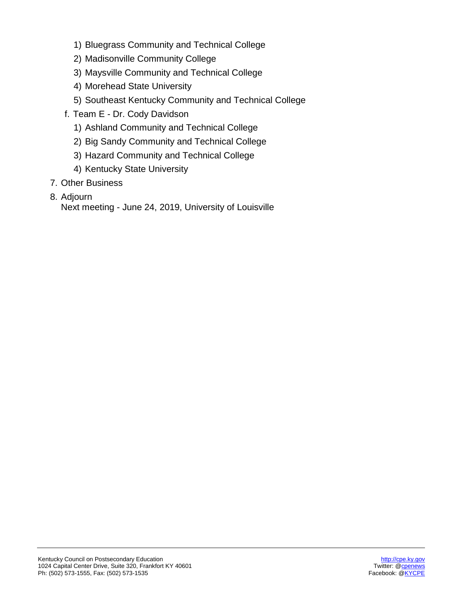- 1) Bluegrass Community and Technical College
- 2) Madisonville Community College
- 3) Maysville Community and Technical College
- 4) Morehead State University
- 5) Southeast Kentucky Community and Technical College
- f. Team E Dr. Cody Davidson
	- 1) Ashland Community and Technical College
	- 2) Big Sandy Community and Technical College
	- 3) Hazard Community and Technical College
	- 4) Kentucky State University
- 7. Other Business
- 8. Adjourn

Next meeting - June 24, 2019, University of Louisville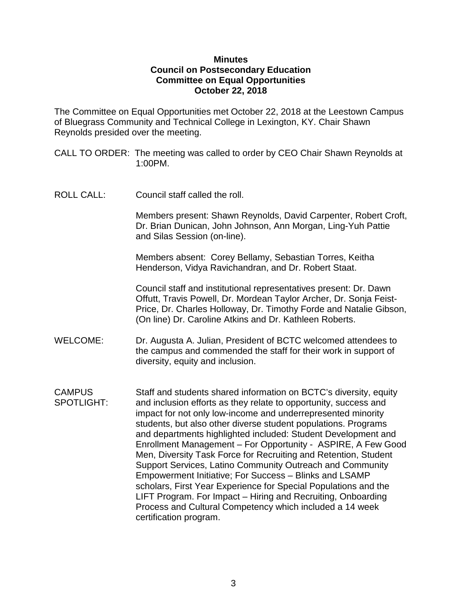## **Minutes Council on Postsecondary Education Committee on Equal Opportunities October 22, 2018**

The Committee on Equal Opportunities met October 22, 2018 at the Leestown Campus of Bluegrass Community and Technical College in Lexington, KY. Chair Shawn Reynolds presided over the meeting.

CALL TO ORDER: The meeting was called to order by CEO Chair Shawn Reynolds at 1:00PM.

ROLL CALL: Council staff called the roll.

Members present: Shawn Reynolds, David Carpenter, Robert Croft, Dr. Brian Dunican, John Johnson, Ann Morgan, Ling-Yuh Pattie and Silas Session (on-line).

Members absent: Corey Bellamy, Sebastian Torres, Keitha Henderson, Vidya Ravichandran, and Dr. Robert Staat.

Council staff and institutional representatives present: Dr. Dawn Offutt, Travis Powell, Dr. Mordean Taylor Archer, Dr. Sonja Feist-Price, Dr. Charles Holloway, Dr. Timothy Forde and Natalie Gibson, (On line) Dr. Caroline Atkins and Dr. Kathleen Roberts.

- WELCOME: Dr. Augusta A. Julian, President of BCTC welcomed attendees to the campus and commended the staff for their work in support of diversity, equity and inclusion.
- CAMPUS Staff and students shared information on BCTC's diversity, equity SPOTLIGHT: and inclusion efforts as they relate to opportunity, success and impact for not only low-income and underrepresented minority students, but also other diverse student populations. Programs and departments highlighted included: Student Development and Enrollment Management – For Opportunity - ASPIRE, A Few Good Men, Diversity Task Force for Recruiting and Retention, Student Support Services, Latino Community Outreach and Community Empowerment Initiative; For Success – Blinks and LSAMP scholars, First Year Experience for Special Populations and the LIFT Program. For Impact – Hiring and Recruiting, Onboarding Process and Cultural Competency which included a 14 week certification program.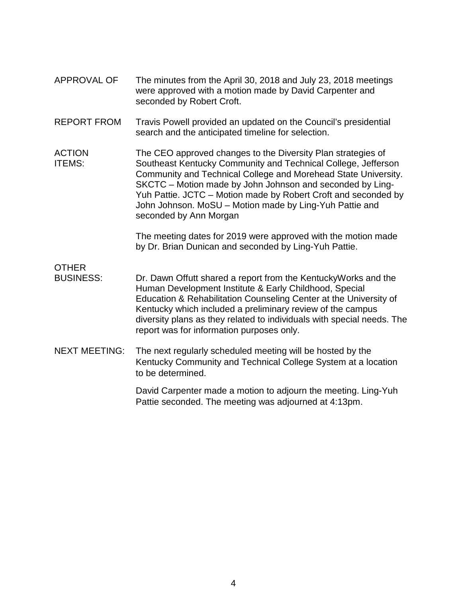- APPROVAL OF The minutes from the April 30, 2018 and July 23, 2018 meetings were approved with a motion made by David Carpenter and seconded by Robert Croft.
- REPORT FROM Travis Powell provided an updated on the Council's presidential search and the anticipated timeline for selection.
- ACTION The CEO approved changes to the Diversity Plan strategies of ITEMS: Southeast Kentucky Community and Technical College, Jefferson Community and Technical College and Morehead State University. SKCTC – Motion made by John Johnson and seconded by Ling-Yuh Pattie. JCTC – Motion made by Robert Croft and seconded by John Johnson. MoSU – Motion made by Ling-Yuh Pattie and seconded by Ann Morgan

The meeting dates for 2019 were approved with the motion made by Dr. Brian Dunican and seconded by Ling-Yuh Pattie.

OTHER

- BUSINESS: Dr. Dawn Offutt shared a report from the KentuckyWorks and the Human Development Institute & Early Childhood, Special Education & Rehabilitation Counseling Center at the University of Kentucky which included a preliminary review of the campus diversity plans as they related to individuals with special needs. The report was for information purposes only.
- NEXT MEETING: The next regularly scheduled meeting will be hosted by the Kentucky Community and Technical College System at a location to be determined.

David Carpenter made a motion to adjourn the meeting. Ling-Yuh Pattie seconded. The meeting was adjourned at 4:13pm.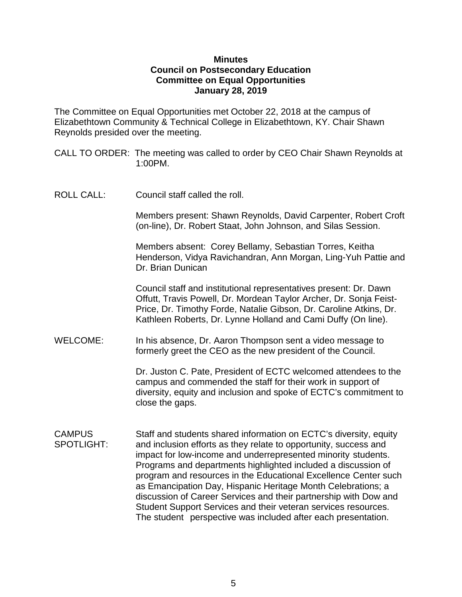## **Minutes Council on Postsecondary Education Committee on Equal Opportunities January 28, 2019**

The Committee on Equal Opportunities met October 22, 2018 at the campus of Elizabethtown Community & Technical College in Elizabethtown, KY. Chair Shawn Reynolds presided over the meeting.

CALL TO ORDER: The meeting was called to order by CEO Chair Shawn Reynolds at 1:00PM.

ROLL CALL: Council staff called the roll.

Members present: Shawn Reynolds, David Carpenter, Robert Croft (on-line), Dr. Robert Staat, John Johnson, and Silas Session.

Members absent: Corey Bellamy, Sebastian Torres, Keitha Henderson, Vidya Ravichandran, Ann Morgan, Ling-Yuh Pattie and Dr. Brian Dunican

Council staff and institutional representatives present: Dr. Dawn Offutt, Travis Powell, Dr. Mordean Taylor Archer, Dr. Sonja Feist-Price, Dr. Timothy Forde, Natalie Gibson, Dr. Caroline Atkins, Dr. Kathleen Roberts, Dr. Lynne Holland and Cami Duffy (On line).

WELCOME: In his absence, Dr. Aaron Thompson sent a video message to formerly greet the CEO as the new president of the Council.

> Dr. Juston C. Pate, President of ECTC welcomed attendees to the campus and commended the staff for their work in support of diversity, equity and inclusion and spoke of ECTC's commitment to close the gaps.

CAMPUS Staff and students shared information on ECTC's diversity, equity SPOTLIGHT: and inclusion efforts as they relate to opportunity, success and impact for low-income and underrepresented minority students. Programs and departments highlighted included a discussion of program and resources in the Educational Excellence Center such as Emancipation Day, Hispanic Heritage Month Celebrations; a discussion of Career Services and their partnership with Dow and Student Support Services and their veteran services resources. The student perspective was included after each presentation.